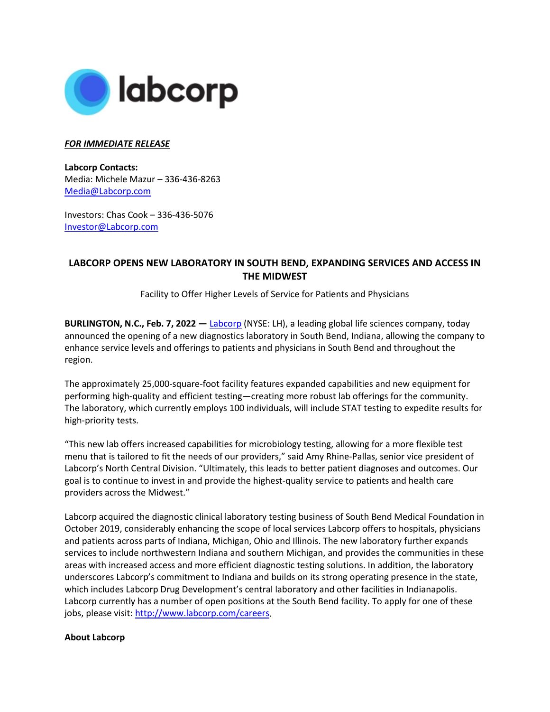

## *FOR IMMEDIATE RELEASE*

**Labcorp Contacts:**  Media: Michele Mazur – 336-436-8263 [Media@Labcorp.com](mailto:Media@Labcorp.com)

Investors: Chas Cook – 336-436-5076 [Investor@Labcorp.com](mailto:Investor@Labcorp.com) 

## **LABCORP OPENS NEW LABORATORY IN SOUTH BEND, EXPANDING SERVICES AND ACCESS IN THE MIDWEST**

Facility to Offer Higher Levels of Service for Patients and Physicians

**BURLINGTON, N.C., Feb. 7, 2022 —** [Labcorp](https://www.labcorp.com/) (NYSE: LH), a leading global life sciences company, today announced the opening of a new diagnostics laboratory in South Bend, Indiana, allowing the company to enhance service levels and offerings to patients and physicians in South Bend and throughout the region.

The approximately 25,000-square-foot facility features expanded capabilities and new equipment for performing high-quality and efficient testing—creating more robust lab offerings for the community. The laboratory, which currently employs 100 individuals, will include STAT testing to expedite results for high-priority tests.

"This new lab offers increased capabilities for microbiology testing, allowing for a more flexible test menu that is tailored to fit the needs of our providers," said Amy Rhine-Pallas, senior vice president of Labcorp's North Central Division. "Ultimately, this leads to better patient diagnoses and outcomes. Our goal is to continue to invest in and provide the highest-quality service to patients and health care providers across the Midwest."

Labcorp acquired the diagnostic clinical laboratory testing business of South Bend Medical Foundation in October 2019, considerably enhancing the scope of local services Labcorp offers to hospitals, physicians and patients across parts of Indiana, Michigan, Ohio and Illinois. The new laboratory further expands services to include northwestern Indiana and southern Michigan, and provides the communities in these areas with increased access and more efficient diagnostic testing solutions. In addition, the laboratory underscores Labcorp's commitment to Indiana and builds on its strong operating presence in the state, which includes Labcorp Drug Development's central laboratory and other facilities in Indianapolis. Labcorp currently has a number of open positions at the South Bend facility. To apply for one of these jobs, please visit: [http://www.labcorp.com/careers.](http://www.labcorp.com/careers)

## **About Labcorp**